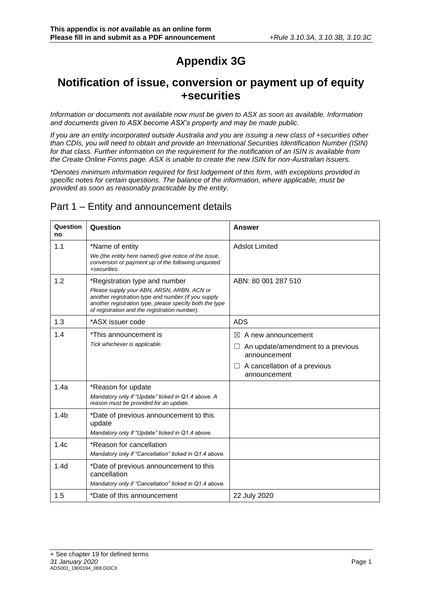# **Appendix 3G**

### **Notification of issue, conversion or payment up of equity +securities**

*Information or documents not available now must be given to ASX as soon as available. Information and documents given to ASX become ASX's property and may be made public.*

*If you are an entity incorporated outside Australia and you are issuing a new class of +securities other than CDIs, you will need to obtain and provide an International Securities Identification Number (ISIN) for that class. Further information on the requirement for the notification of an ISIN is available from the Create Online Forms page. ASX is unable to create the new ISIN for non-Australian issuers.*

*\*Denotes minimum information required for first lodgement of this form, with exceptions provided in specific notes for certain questions. The balance of the information, where applicable, must be provided as soon as reasonably practicable by the entity.*

### Part 1 – Entity and announcement details

| Question<br>no   | Question                                                                                                                                                                                                                                       | <b>Answer</b>                                                                                                                                  |
|------------------|------------------------------------------------------------------------------------------------------------------------------------------------------------------------------------------------------------------------------------------------|------------------------------------------------------------------------------------------------------------------------------------------------|
| 1.1              | *Name of entity<br>We (the entity here named) give notice of the issue,<br>conversion or payment up of the following unquoted<br>+securities.                                                                                                  | <b>Adslot Limited</b>                                                                                                                          |
| 1.2              | *Registration type and number<br>Please supply your ABN, ARSN, ARBN, ACN or<br>another registration type and number (if you supply<br>another registration type, please specify both the type<br>of registration and the registration number). | ABN: 80 001 287 510                                                                                                                            |
| 1.3              | *ASX issuer code                                                                                                                                                                                                                               | <b>ADS</b>                                                                                                                                     |
| 1.4              | *This announcement is<br>Tick whichever is applicable.                                                                                                                                                                                         | $\bowtie$<br>A new announcement<br>An update/amendment to a previous<br>announcement<br>A cancellation of a previous<br>$\Box$<br>announcement |
| 1.4a             | *Reason for update<br>Mandatory only if "Update" ticked in Q1.4 above. A<br>reason must be provided for an update.                                                                                                                             |                                                                                                                                                |
| 1.4 <sub>b</sub> | *Date of previous announcement to this<br>update<br>Mandatory only if "Update" ticked in Q1.4 above.                                                                                                                                           |                                                                                                                                                |
| 1.4c             | *Reason for cancellation<br>Mandatory only if "Cancellation" ticked in Q1.4 above.                                                                                                                                                             |                                                                                                                                                |
| 1.4d             | *Date of previous announcement to this<br>cancellation<br>Mandatory only if "Cancellation" ticked in Q1.4 above.                                                                                                                               |                                                                                                                                                |
| 1.5              | *Date of this announcement                                                                                                                                                                                                                     | 22 July 2020                                                                                                                                   |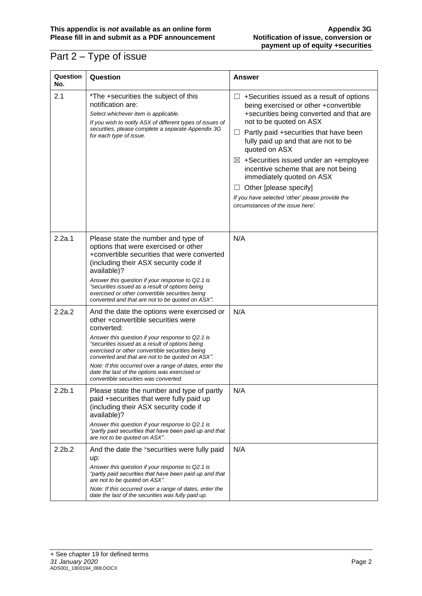## Part 2 – Type of issue

| Question<br>No.    | Question                                                                                                                                                                                                                                                                                                                                                                                                                                                          | <b>Answer</b>                                                                                                                                                                                                                                                                                                                                                                                                                                                                                                                  |
|--------------------|-------------------------------------------------------------------------------------------------------------------------------------------------------------------------------------------------------------------------------------------------------------------------------------------------------------------------------------------------------------------------------------------------------------------------------------------------------------------|--------------------------------------------------------------------------------------------------------------------------------------------------------------------------------------------------------------------------------------------------------------------------------------------------------------------------------------------------------------------------------------------------------------------------------------------------------------------------------------------------------------------------------|
| 2.1                | *The +securities the subject of this<br>notification are:<br>Select whichever item is applicable.<br>If you wish to notify ASX of different types of issues of<br>securities, please complete a separate Appendix 3G<br>for each type of issue.                                                                                                                                                                                                                   | $\Box$ +Securities issued as a result of options<br>being exercised or other +convertible<br>+securities being converted and that are<br>not to be quoted on ASX<br>Partly paid +securities that have been<br>$\sqcup$<br>fully paid up and that are not to be<br>quoted on ASX<br>$\boxtimes$ +Securities issued under an +employee<br>incentive scheme that are not being<br>immediately quoted on ASX<br>Other [please specify]<br>ப<br>If you have selected 'other' please provide the<br>circumstances of the issue here: |
| 2.2a.1             | Please state the number and type of<br>options that were exercised or other<br>+convertible securities that were converted<br>(including their ASX security code if<br>available)?<br>Answer this question if your response to Q2.1 is<br>"securities issued as a result of options being<br>exercised or other convertible securities being<br>converted and that are not to be quoted on ASX".                                                                  | N/A                                                                                                                                                                                                                                                                                                                                                                                                                                                                                                                            |
| 2.2a.2             | And the date the options were exercised or<br>other +convertible securities were<br>converted:<br>Answer this question if your response to Q2.1 is<br>"securities issued as a result of options being<br>exercised or other convertible securities being<br>converted and that are not to be quoted on ASX".<br>Note: If this occurred over a range of dates, enter the<br>date the last of the options was exercised or<br>convertible securities was converted. | N/A                                                                                                                                                                                                                                                                                                                                                                                                                                                                                                                            |
| 2.2 <sub>b.1</sub> | Please state the number and type of partly<br>paid +securities that were fully paid up<br>(including their ASX security code if<br>available)?<br>Answer this question if your response to Q2.1 is<br>"partly paid securities that have been paid up and that<br>are not to be quoted on ASX".                                                                                                                                                                    | N/A                                                                                                                                                                                                                                                                                                                                                                                                                                                                                                                            |
| 2.2 <sub>b.2</sub> | And the date the +securities were fully paid<br>up:<br>Answer this question if your response to Q2.1 is<br>"partly paid securities that have been paid up and that<br>are not to be quoted on ASX".<br>Note: If this occurred over a range of dates, enter the<br>date the last of the securities was fully paid up.                                                                                                                                              | N/A                                                                                                                                                                                                                                                                                                                                                                                                                                                                                                                            |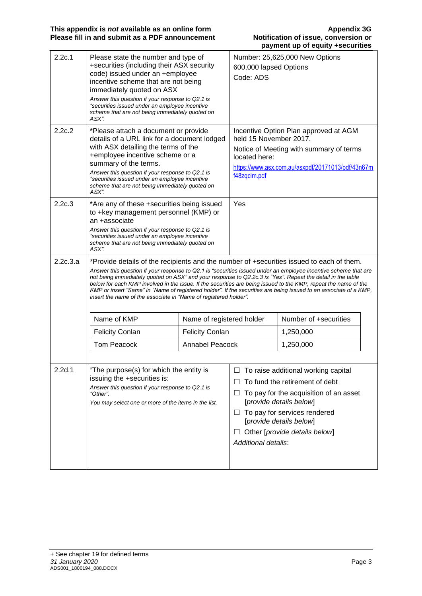| 2.2c.1   | Please state the number and type of<br>+securities (including their ASX security<br>code) issued under an +employee<br>incentive scheme that are not being<br>immediately quoted on ASX<br>Answer this question if your response to Q2.1 is<br>"securities issued under an employee incentive<br>scheme that are not being immediately quoted on<br>ASX". |                                                                                                                                                                                                                                                                                                                                                                                                                                                                                                                                                                   | 600,000 lapsed Options<br>Code: ADS                     | Number: 25,625,000 New Options                                                                                                                                                                                                         |  |
|----------|-----------------------------------------------------------------------------------------------------------------------------------------------------------------------------------------------------------------------------------------------------------------------------------------------------------------------------------------------------------|-------------------------------------------------------------------------------------------------------------------------------------------------------------------------------------------------------------------------------------------------------------------------------------------------------------------------------------------------------------------------------------------------------------------------------------------------------------------------------------------------------------------------------------------------------------------|---------------------------------------------------------|----------------------------------------------------------------------------------------------------------------------------------------------------------------------------------------------------------------------------------------|--|
| 2.2c.2   | *Please attach a document or provide<br>details of a URL link for a document lodged<br>with ASX detailing the terms of the<br>+employee incentive scheme or a<br>summary of the terms.<br>Answer this question if your response to Q2.1 is<br>"securities issued under an employee incentive<br>scheme that are not being immediately quoted on<br>ASX".  |                                                                                                                                                                                                                                                                                                                                                                                                                                                                                                                                                                   | held 15 November 2017.<br>located here:<br>f48zqclm.pdf | Incentive Option Plan approved at AGM<br>Notice of Meeting with summary of terms<br>https://www.asx.com.au/asxpdf/20171013/pdf/43n67m                                                                                                  |  |
| 2.2c.3   | *Are any of these +securities being issued<br>to +key management personnel (KMP) or<br>an +associate<br>Answer this question if your response to Q2.1 is<br>"securities issued under an employee incentive<br>scheme that are not being immediately quoted on<br>ASX".                                                                                    |                                                                                                                                                                                                                                                                                                                                                                                                                                                                                                                                                                   | Yes                                                     |                                                                                                                                                                                                                                        |  |
| 2.2c.3.a | insert the name of the associate in "Name of registered holder".                                                                                                                                                                                                                                                                                          | *Provide details of the recipients and the number of +securities issued to each of them.<br>Answer this question if your response to Q2.1 is "securities issued under an employee incentive scheme that are<br>not being immediately quoted on ASX" and your response to Q2.2c.3 is "Yes". Repeat the detail in the table<br>below for each KMP involved in the issue. If the securities are being issued to the KMP, repeat the name of the<br>KMP or insert "Same" in "Name of registered holder". If the securities are being issued to an associate of a KMP, |                                                         |                                                                                                                                                                                                                                        |  |
|          | Name of KMP                                                                                                                                                                                                                                                                                                                                               | Name of registered holder                                                                                                                                                                                                                                                                                                                                                                                                                                                                                                                                         |                                                         | Number of +securities                                                                                                                                                                                                                  |  |
|          | <b>Felicity Conlan</b>                                                                                                                                                                                                                                                                                                                                    | <b>Felicity Conlan</b>                                                                                                                                                                                                                                                                                                                                                                                                                                                                                                                                            |                                                         | 1,250,000                                                                                                                                                                                                                              |  |
|          | <b>Tom Peacock</b>                                                                                                                                                                                                                                                                                                                                        | Annabel Peacock                                                                                                                                                                                                                                                                                                                                                                                                                                                                                                                                                   |                                                         | 1,250,000                                                                                                                                                                                                                              |  |
| 2.2d.1   | *The purpose(s) for which the entity is<br>issuing the +securities is:<br>Answer this question if your response to Q2.1 is<br>"Other".<br>You may select one or more of the items in the list.                                                                                                                                                            |                                                                                                                                                                                                                                                                                                                                                                                                                                                                                                                                                                   | ப<br>Additional details:                                | To raise additional working capital<br>To fund the retirement of debt<br>To pay for the acquisition of an asset<br>[provide details below]<br>To pay for services rendered<br>[provide details below]<br>Other [provide details below] |  |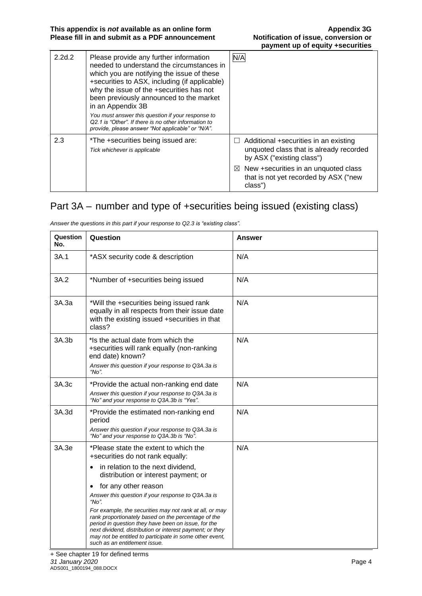| 2.2d.2 | Please provide any further information<br>needed to understand the circumstances in<br>which you are notifying the issue of these<br>+securities to ASX, including (if applicable)<br>why the issue of the +securities has not<br>been previously announced to the market<br>in an Appendix 3B<br>You must answer this question if your response to<br>Q2.1 is "Other". If there is no other information to<br>provide, please answer "Not applicable" or "N/A". | N/A                                                                                                                                                               |
|--------|------------------------------------------------------------------------------------------------------------------------------------------------------------------------------------------------------------------------------------------------------------------------------------------------------------------------------------------------------------------------------------------------------------------------------------------------------------------|-------------------------------------------------------------------------------------------------------------------------------------------------------------------|
| 2.3    | *The +securities being issued are:<br>Tick whichever is applicable                                                                                                                                                                                                                                                                                                                                                                                               | Additional +securities in an existing<br>unquoted class that is already recorded<br>by ASX ("existing class")<br>$\boxtimes$ New +securities in an unquoted class |
|        |                                                                                                                                                                                                                                                                                                                                                                                                                                                                  | that is not yet recorded by ASX ("new<br>class")                                                                                                                  |

### Part 3A – number and type of +securities being issued (existing class)

| Question<br>No. | Question                                                                                                                                                                                                                                                                                                                                                                                                                                                                                                                                                                                                 | Answer |
|-----------------|----------------------------------------------------------------------------------------------------------------------------------------------------------------------------------------------------------------------------------------------------------------------------------------------------------------------------------------------------------------------------------------------------------------------------------------------------------------------------------------------------------------------------------------------------------------------------------------------------------|--------|
| 3A.1            | *ASX security code & description                                                                                                                                                                                                                                                                                                                                                                                                                                                                                                                                                                         | N/A    |
| 3A.2            | *Number of +securities being issued                                                                                                                                                                                                                                                                                                                                                                                                                                                                                                                                                                      | N/A    |
| 3A.3a           | *Will the +securities being issued rank<br>equally in all respects from their issue date<br>with the existing issued +securities in that<br>class?                                                                                                                                                                                                                                                                                                                                                                                                                                                       | N/A    |
| 3A.3b           | *Is the actual date from which the<br>+securities will rank equally (non-ranking<br>end date) known?<br>Answer this question if your response to Q3A.3a is<br>"No".                                                                                                                                                                                                                                                                                                                                                                                                                                      | N/A    |
| 3A.3c           | *Provide the actual non-ranking end date<br>Answer this question if your response to Q3A.3a is<br>"No" and your response to Q3A.3b is "Yes".                                                                                                                                                                                                                                                                                                                                                                                                                                                             | N/A    |
| 3A.3d           | *Provide the estimated non-ranking end<br>period<br>Answer this question if your response to Q3A.3a is<br>"No" and your response to Q3A.3b is "No".                                                                                                                                                                                                                                                                                                                                                                                                                                                      | N/A    |
| 3A.3e           | *Please state the extent to which the<br>+securities do not rank equally:<br>in relation to the next dividend,<br>$\bullet$<br>distribution or interest payment; or<br>for any other reason<br>$\bullet$<br>Answer this question if your response to Q3A.3a is<br>"No".<br>For example, the securities may not rank at all, or may<br>rank proportionately based on the percentage of the<br>period in question they have been on issue, for the<br>next dividend, distribution or interest payment; or they<br>may not be entitled to participate in some other event,<br>such as an entitlement issue. | N/A    |

*Answer the questions in this part if your response to Q2.3 is "existing class".*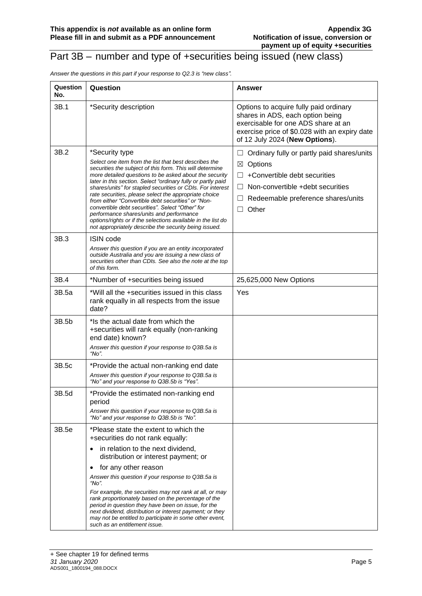#### Part 3B – number and type of +securities being issued (new class)

*Answer the questions in this part if your response to Q2.3 is "new class".*

| Question<br>No. | Question                                                                                                                                                                                                                                                                                                                                                                                                                                                                                                                                                                                                                                                            | Answer                                                                                                                                                                                                                  |
|-----------------|---------------------------------------------------------------------------------------------------------------------------------------------------------------------------------------------------------------------------------------------------------------------------------------------------------------------------------------------------------------------------------------------------------------------------------------------------------------------------------------------------------------------------------------------------------------------------------------------------------------------------------------------------------------------|-------------------------------------------------------------------------------------------------------------------------------------------------------------------------------------------------------------------------|
| 3B.1            | *Security description                                                                                                                                                                                                                                                                                                                                                                                                                                                                                                                                                                                                                                               | Options to acquire fully paid ordinary<br>shares in ADS, each option being<br>exercisable for one ADS share at an<br>exercise price of \$0.028 with an expiry date<br>of 12 July 2024 (New Options).                    |
| 3B.2            | *Security type<br>Select one item from the list that best describes the<br>securities the subject of this form. This will determine<br>more detailed questions to be asked about the security<br>later in this section. Select "ordinary fully or partly paid<br>shares/units" for stapled securities or CDIs. For interest<br>rate securities, please select the appropriate choice<br>from either "Convertible debt securities" or "Non-<br>convertible debt securities". Select "Other" for<br>performance shares/units and performance<br>options/rights or if the selections available in the list do<br>not appropriately describe the security being issued. | Ordinary fully or partly paid shares/units<br>$\Box$<br>Options<br>$\boxtimes$<br>+Convertible debt securities<br>Non-convertible +debt securities<br>$\perp$<br>Redeemable preference shares/units<br>Other<br>$\perp$ |
| 3B.3            | <b>ISIN code</b><br>Answer this question if you are an entity incorporated<br>outside Australia and you are issuing a new class of<br>securities other than CDIs. See also the note at the top<br>of this form.                                                                                                                                                                                                                                                                                                                                                                                                                                                     |                                                                                                                                                                                                                         |
| 3B.4            | *Number of +securities being issued                                                                                                                                                                                                                                                                                                                                                                                                                                                                                                                                                                                                                                 | 25,625,000 New Options                                                                                                                                                                                                  |
| 3B.5a           | *Will all the +securities issued in this class<br>rank equally in all respects from the issue<br>date?                                                                                                                                                                                                                                                                                                                                                                                                                                                                                                                                                              | Yes                                                                                                                                                                                                                     |
| 3B.5b           | *Is the actual date from which the<br>+securities will rank equally (non-ranking<br>end date) known?<br>Answer this question if your response to Q3B.5a is<br>"No".                                                                                                                                                                                                                                                                                                                                                                                                                                                                                                 |                                                                                                                                                                                                                         |
| 3B.5c           | *Provide the actual non-ranking end date<br>Answer this question if your response to Q3B.5a is<br>"No" and your response to Q3B.5b is "Yes".                                                                                                                                                                                                                                                                                                                                                                                                                                                                                                                        |                                                                                                                                                                                                                         |
| 3B.5d           | *Provide the estimated non-ranking end<br>period<br>Answer this question if your response to Q3B.5a is<br>"No" and your response to Q3B.5b is "No".                                                                                                                                                                                                                                                                                                                                                                                                                                                                                                                 |                                                                                                                                                                                                                         |
| 3B.5e           | *Please state the extent to which the<br>+securities do not rank equally:<br>in relation to the next dividend,<br>$\bullet$<br>distribution or interest payment; or<br>for any other reason<br>$\bullet$<br>Answer this question if your response to Q3B.5a is<br>"No".<br>For example, the securities may not rank at all, or may<br>rank proportionately based on the percentage of the<br>period in question they have been on issue, for the<br>next dividend, distribution or interest payment; or they<br>may not be entitled to participate in some other event,<br>such as an entitlement issue.                                                            |                                                                                                                                                                                                                         |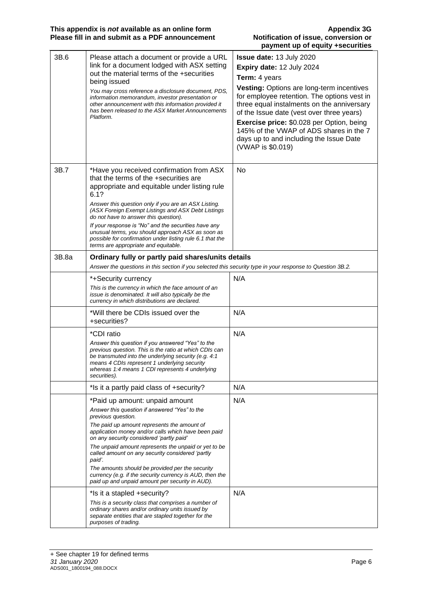|       |                                                                                                                                                                                                                                                                                        | payment up or equity +securities                                                                                                                                                    |
|-------|----------------------------------------------------------------------------------------------------------------------------------------------------------------------------------------------------------------------------------------------------------------------------------------|-------------------------------------------------------------------------------------------------------------------------------------------------------------------------------------|
| 3B.6  | Please attach a document or provide a URL                                                                                                                                                                                                                                              | Issue date: 13 July 2020                                                                                                                                                            |
|       | link for a document lodged with ASX setting                                                                                                                                                                                                                                            | Expiry date: 12 July 2024                                                                                                                                                           |
|       | out the material terms of the +securities<br>being issued                                                                                                                                                                                                                              | Term: 4 years                                                                                                                                                                       |
|       | You may cross reference a disclosure document, PDS,<br>information memorandum, investor presentation or<br>other announcement with this information provided it<br>has been released to the ASX Market Announcements<br>Platform.                                                      | Vesting: Options are long-term incentives<br>for employee retention. The options vest in<br>three equal instalments on the anniversary<br>of the Issue date (vest over three years) |
|       |                                                                                                                                                                                                                                                                                        | <b>Exercise price: \$0.028 per Option, being</b><br>145% of the VWAP of ADS shares in the 7<br>days up to and including the Issue Date<br>(VWAP is \$0.019)                         |
| 3B.7  | *Have you received confirmation from ASX<br>that the terms of the +securities are<br>appropriate and equitable under listing rule<br>6.1?                                                                                                                                              | <b>No</b>                                                                                                                                                                           |
|       | Answer this question only if you are an ASX Listing.<br>(ASX Foreign Exempt Listings and ASX Debt Listings<br>do not have to answer this question).                                                                                                                                    |                                                                                                                                                                                     |
|       | If your response is "No" and the securities have any<br>unusual terms, you should approach ASX as soon as<br>possible for confirmation under listing rule 6.1 that the<br>terms are appropriate and equitable.                                                                         |                                                                                                                                                                                     |
| 3B.8a | Ordinary fully or partly paid shares/units details<br>Answer the questions in this section if you selected this security type in your response to Question 3B.2.                                                                                                                       |                                                                                                                                                                                     |
|       | *+Security currency                                                                                                                                                                                                                                                                    | N/A                                                                                                                                                                                 |
|       | This is the currency in which the face amount of an<br>issue is denominated. It will also typically be the<br>currency in which distributions are declared.                                                                                                                            |                                                                                                                                                                                     |
|       | *Will there be CDIs issued over the<br>+securities?                                                                                                                                                                                                                                    | N/A                                                                                                                                                                                 |
|       | *CDI ratio                                                                                                                                                                                                                                                                             | N/A                                                                                                                                                                                 |
|       | Answer this question if you answered "Yes" to the<br>previous question. This is the ratio at which CDIs can<br>be transmuted into the underlying security (e.g. 4:1<br>means 4 CDIs represent 1 underlying security<br>whereas 1:4 means 1 CDI represents 4 underlying<br>securities). |                                                                                                                                                                                     |
|       | *Is it a partly paid class of +security?                                                                                                                                                                                                                                               | N/A                                                                                                                                                                                 |
|       | *Paid up amount: unpaid amount                                                                                                                                                                                                                                                         | N/A                                                                                                                                                                                 |
|       | Answer this question if answered "Yes" to the<br>previous question.                                                                                                                                                                                                                    |                                                                                                                                                                                     |
|       | The paid up amount represents the amount of<br>application money and/or calls which have been paid<br>on any security considered 'partly paid'                                                                                                                                         |                                                                                                                                                                                     |
|       | The unpaid amount represents the unpaid or yet to be<br>called amount on any security considered 'partly<br>paid'.                                                                                                                                                                     |                                                                                                                                                                                     |
|       | The amounts should be provided per the security<br>currency (e.g. if the security currency is AUD, then the<br>paid up and unpaid amount per security in AUD).                                                                                                                         |                                                                                                                                                                                     |
|       | *Is it a stapled +security?                                                                                                                                                                                                                                                            | N/A                                                                                                                                                                                 |
|       | This is a security class that comprises a number of<br>ordinary shares and/or ordinary units issued by<br>separate entities that are stapled together for the<br>purposes of trading.                                                                                                  |                                                                                                                                                                                     |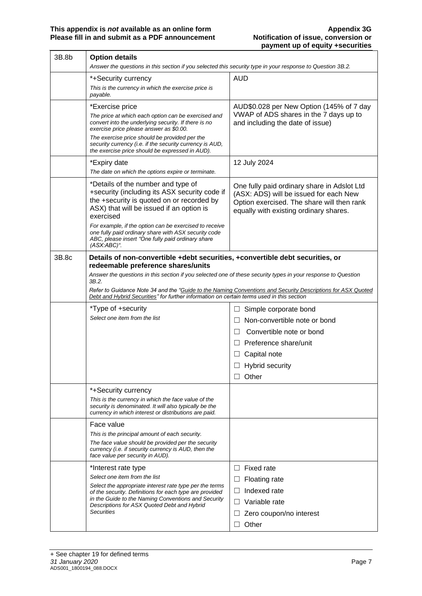| 3B.8b | <b>Option details</b>                                                                                                                                                                     |                                                                                                                                                                               |
|-------|-------------------------------------------------------------------------------------------------------------------------------------------------------------------------------------------|-------------------------------------------------------------------------------------------------------------------------------------------------------------------------------|
|       | Answer the questions in this section if you selected this security type in your response to Question 3B.2.                                                                                |                                                                                                                                                                               |
|       | *+Security currency                                                                                                                                                                       | <b>AUD</b>                                                                                                                                                                    |
|       | This is the currency in which the exercise price is<br>payable.                                                                                                                           |                                                                                                                                                                               |
|       | *Exercise price                                                                                                                                                                           | AUD\$0.028 per New Option (145% of 7 day                                                                                                                                      |
|       | The price at which each option can be exercised and<br>convert into the underlying security. If there is no<br>exercise price please answer as \$0.00.                                    | VWAP of ADS shares in the 7 days up to<br>and including the date of issue)                                                                                                    |
|       | The exercise price should be provided per the<br>security currency (i.e. if the security currency is AUD,<br>the exercise price should be expressed in AUD).                              |                                                                                                                                                                               |
|       | *Expiry date                                                                                                                                                                              | 12 July 2024                                                                                                                                                                  |
|       | The date on which the options expire or terminate.                                                                                                                                        |                                                                                                                                                                               |
|       | *Details of the number and type of<br>+security (including its ASX security code if<br>the +security is quoted on or recorded by<br>ASX) that will be issued if an option is<br>exercised | One fully paid ordinary share in Adslot Ltd<br>(ASX: ADS) will be issued for each New<br>Option exercised. The share will then rank<br>equally with existing ordinary shares. |
|       | For example, if the option can be exercised to receive<br>one fully paid ordinary share with ASX security code<br>ABC, please insert "One fully paid ordinary share<br>(ASX:ABC)".        |                                                                                                                                                                               |
| 3B.8c | Details of non-convertible +debt securities, +convertible debt securities, or<br>redeemable preference shares/units                                                                       |                                                                                                                                                                               |
|       | Answer the questions in this section if you selected one of these security types in your response to Question                                                                             |                                                                                                                                                                               |
|       | 3B.2.<br>Debt and Hybrid Securities" for further information on certain terms used in this section                                                                                        | Refer to Guidance Note 34 and the "Guide to the Naming Conventions and Security Descriptions for ASX Quoted                                                                   |
|       | *Type of +security                                                                                                                                                                        | Simple corporate bond<br>ப                                                                                                                                                    |
|       | Select one item from the list                                                                                                                                                             | Non-convertible note or bond<br>$\Box$                                                                                                                                        |
|       |                                                                                                                                                                                           | Convertible note or bond<br>$\Box$                                                                                                                                            |
|       |                                                                                                                                                                                           | $\Box$ Preference share/unit                                                                                                                                                  |
|       |                                                                                                                                                                                           | Capital note<br>⊔                                                                                                                                                             |
|       |                                                                                                                                                                                           | <b>Hybrid security</b>                                                                                                                                                        |
|       |                                                                                                                                                                                           | Other                                                                                                                                                                         |
|       | *+Security currency                                                                                                                                                                       |                                                                                                                                                                               |
|       | This is the currency in which the face value of the                                                                                                                                       |                                                                                                                                                                               |
|       | security is denominated. It will also typically be the<br>currency in which interest or distributions are paid.                                                                           |                                                                                                                                                                               |
|       | Face value                                                                                                                                                                                |                                                                                                                                                                               |
|       | This is the principal amount of each security.                                                                                                                                            |                                                                                                                                                                               |
|       | The face value should be provided per the security<br>currency (i.e. if security currency is AUD, then the<br>face value per security in AUD).                                            |                                                                                                                                                                               |
|       | *Interest rate type                                                                                                                                                                       | Fixed rate<br>$\Box$                                                                                                                                                          |
|       | Select one item from the list                                                                                                                                                             | Floating rate                                                                                                                                                                 |
|       | Select the appropriate interest rate type per the terms<br>of the security. Definitions for each type are provided                                                                        | Indexed rate<br>$\Box$                                                                                                                                                        |
|       | in the Guide to the Naming Conventions and Security                                                                                                                                       | Variable rate<br>$\Box$                                                                                                                                                       |
|       | Descriptions for ASX Quoted Debt and Hybrid<br><b>Securities</b>                                                                                                                          | Zero coupon/no interest<br>ப                                                                                                                                                  |
|       |                                                                                                                                                                                           | Other                                                                                                                                                                         |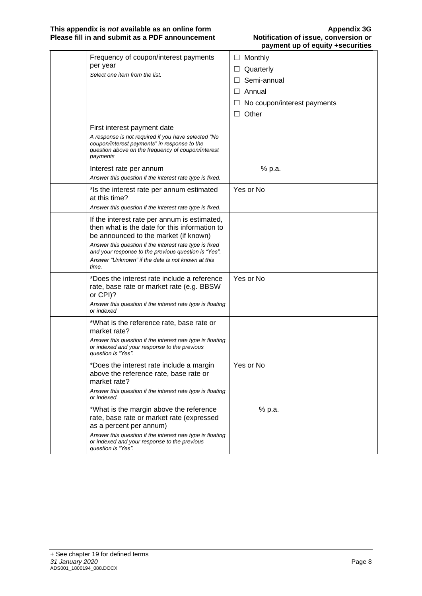| Frequency of coupon/interest payments<br>per year<br>Select one item from the list.                                                                                                                                                                                                                                     | $\Box$ Monthly<br>Quarterly<br>$\Box$<br>Semi-annual<br>Annual<br>$\Box$<br>No coupon/interest payments<br>Other<br>$\perp$ |
|-------------------------------------------------------------------------------------------------------------------------------------------------------------------------------------------------------------------------------------------------------------------------------------------------------------------------|-----------------------------------------------------------------------------------------------------------------------------|
| First interest payment date<br>A response is not required if you have selected "No<br>coupon/interest payments" in response to the<br>question above on the frequency of coupon/interest<br>payments                                                                                                                    |                                                                                                                             |
| Interest rate per annum<br>Answer this question if the interest rate type is fixed.                                                                                                                                                                                                                                     | % p.a.                                                                                                                      |
| *Is the interest rate per annum estimated<br>at this time?<br>Answer this question if the interest rate type is fixed.                                                                                                                                                                                                  | Yes or No                                                                                                                   |
| If the interest rate per annum is estimated,<br>then what is the date for this information to<br>be announced to the market (if known)<br>Answer this question if the interest rate type is fixed<br>and your response to the previous question is "Yes".<br>Answer "Unknown" if the date is not known at this<br>time. |                                                                                                                             |
| *Does the interest rate include a reference<br>rate, base rate or market rate (e.g. BBSW<br>or CPI)?<br>Answer this question if the interest rate type is floating<br>or indexed                                                                                                                                        | Yes or No                                                                                                                   |
| *What is the reference rate, base rate or<br>market rate?<br>Answer this question if the interest rate type is floating<br>or indexed and your response to the previous<br>question is "Yes".                                                                                                                           |                                                                                                                             |
| *Does the interest rate include a margin<br>above the reference rate, base rate or<br>market rate?<br>Answer this question if the interest rate type is floating<br>or indexed.                                                                                                                                         | Yes or No                                                                                                                   |
| *What is the margin above the reference<br>rate, base rate or market rate (expressed<br>as a percent per annum)<br>Answer this question if the interest rate type is floating<br>or indexed and your response to the previous<br>question is "Yes".                                                                     | % p.a.                                                                                                                      |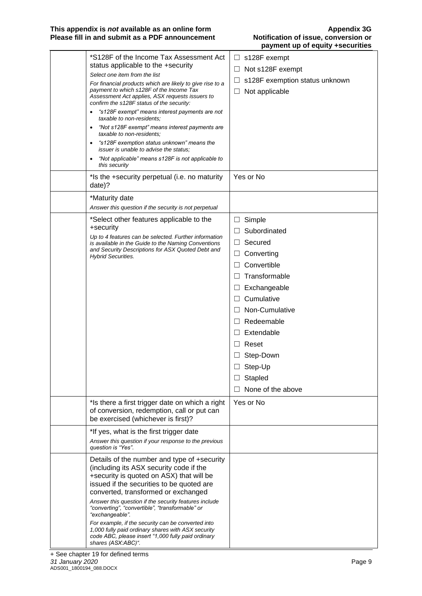#### **This appendix is** *not* **available as an online form Appendix 3G Please fill in and submit as a PDF announcement Notification of issue, conversion or**

| *S128F of the Income Tax Assessment Act<br>status applicable to the +security<br>Select one item from the list<br>For financial products which are likely to give rise to a<br>payment to which s128F of the Income Tax<br>Assessment Act applies, ASX requests issuers to<br>confirm the s128F status of the security:<br>"s128F exempt" means interest payments are not<br>$\bullet$<br>taxable to non-residents;<br>"Not s128F exempt" means interest payments are<br>$\bullet$<br>taxable to non-residents:<br>"s128F exemption status unknown" means the<br>$\bullet$<br><i>issuer is unable to advise the status:</i><br>"Not applicable" means s128F is not applicable to<br>$\bullet$<br>this security | $\Box$ s128F exempt<br>Not s128F exempt<br>$\Box$<br>s128F exemption status unknown<br>$\Box$<br>$\Box$<br>Not applicable                                                                                                                                                                                                                                                    |
|----------------------------------------------------------------------------------------------------------------------------------------------------------------------------------------------------------------------------------------------------------------------------------------------------------------------------------------------------------------------------------------------------------------------------------------------------------------------------------------------------------------------------------------------------------------------------------------------------------------------------------------------------------------------------------------------------------------|------------------------------------------------------------------------------------------------------------------------------------------------------------------------------------------------------------------------------------------------------------------------------------------------------------------------------------------------------------------------------|
| *Is the +security perpetual (i.e. no maturity<br>date)?                                                                                                                                                                                                                                                                                                                                                                                                                                                                                                                                                                                                                                                        | Yes or No                                                                                                                                                                                                                                                                                                                                                                    |
| *Maturity date<br>Answer this question if the security is not perpetual                                                                                                                                                                                                                                                                                                                                                                                                                                                                                                                                                                                                                                        |                                                                                                                                                                                                                                                                                                                                                                              |
| *Select other features applicable to the<br>+security<br>Up to 4 features can be selected. Further information<br>is available in the Guide to the Naming Conventions<br>and Security Descriptions for ASX Quoted Debt and<br><b>Hybrid Securities.</b>                                                                                                                                                                                                                                                                                                                                                                                                                                                        | Simple<br>$\Box$<br>Subordinated<br>$\Box$<br>$\Box$<br>Secured<br>Converting<br>Ш<br>Convertible<br>$\Box$<br>Transformable<br>$\Box$<br>Exchangeable<br>$\Box$<br>Cumulative<br>$\Box$<br>Non-Cumulative<br>$\perp$<br>Redeemable<br>$\perp$<br>Extendable<br>$\Box$<br>$\Box$<br>Reset<br>Step-Down<br>$\Box$<br>$\Box$ Step-Up<br>Stapled<br>$\Box$<br>None of the above |
| *Is there a first trigger date on which a right<br>of conversion, redemption, call or put can<br>be exercised (whichever is first)?                                                                                                                                                                                                                                                                                                                                                                                                                                                                                                                                                                            | Yes or No                                                                                                                                                                                                                                                                                                                                                                    |
| *If yes, what is the first trigger date<br>Answer this question if your response to the previous<br>question is "Yes".                                                                                                                                                                                                                                                                                                                                                                                                                                                                                                                                                                                         |                                                                                                                                                                                                                                                                                                                                                                              |
| Details of the number and type of +security<br>(including its ASX security code if the<br>+security is quoted on ASX) that will be<br>issued if the securities to be quoted are<br>converted, transformed or exchanged<br>Answer this question if the security features include<br>"converting", "convertible", "transformable" or<br>"exchangeable".<br>For example, if the security can be converted into<br>1,000 fully paid ordinary shares with ASX security<br>code ABC, please insert "1,000 fully paid ordinary<br>shares (ASX:ABC)".                                                                                                                                                                  |                                                                                                                                                                                                                                                                                                                                                                              |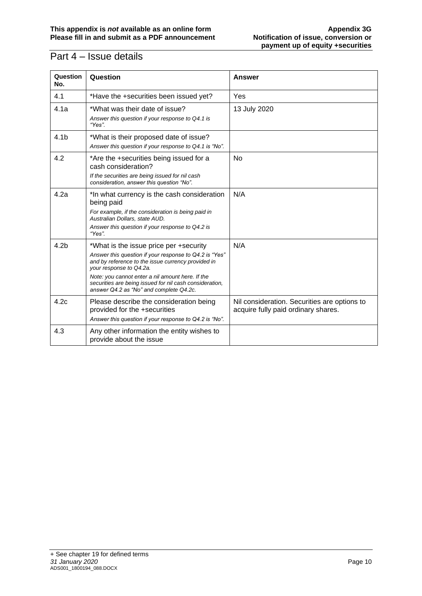### Part 4 – Issue details

| Question<br>No.  | Question                                                                                                                                                                                                                                                                                                                                    | <b>Answer</b>                                                                       |
|------------------|---------------------------------------------------------------------------------------------------------------------------------------------------------------------------------------------------------------------------------------------------------------------------------------------------------------------------------------------|-------------------------------------------------------------------------------------|
| 4.1              | *Have the +securities been issued yet?                                                                                                                                                                                                                                                                                                      | Yes                                                                                 |
| 4.1a             | *What was their date of issue?<br>Answer this question if your response to Q4.1 is<br>"Yes"                                                                                                                                                                                                                                                 | 13 July 2020                                                                        |
| 4.1 <sub>b</sub> | *What is their proposed date of issue?<br>Answer this question if your response to Q4.1 is "No".                                                                                                                                                                                                                                            |                                                                                     |
| 4.2              | *Are the +securities being issued for a<br>cash consideration?<br>If the securities are being issued for nil cash<br>consideration, answer this question "No".                                                                                                                                                                              | No                                                                                  |
| 4.2a             | *In what currency is the cash consideration<br>being paid<br>For example, if the consideration is being paid in<br>Australian Dollars, state AUD.<br>Answer this question if your response to Q4.2 is<br>"Yes".                                                                                                                             | N/A                                                                                 |
| 4.2 <sub>b</sub> | *What is the issue price per +security<br>Answer this question if your response to Q4.2 is "Yes"<br>and by reference to the issue currency provided in<br>your response to Q4.2a.<br>Note: you cannot enter a nil amount here. If the<br>securities are being issued for nil cash consideration,<br>answer Q4.2 as "No" and complete Q4.2c. | N/A                                                                                 |
| 4.2c             | Please describe the consideration being<br>provided for the +securities<br>Answer this question if your response to Q4.2 is "No".                                                                                                                                                                                                           | Nil consideration. Securities are options to<br>acquire fully paid ordinary shares. |
| 4.3              | Any other information the entity wishes to<br>provide about the issue                                                                                                                                                                                                                                                                       |                                                                                     |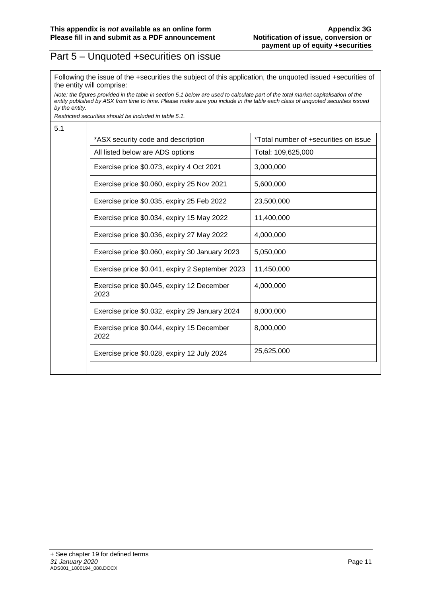#### Part 5 – Unquoted +securities on issue

Following the issue of the +securities the subject of this application, the unquoted issued +securities of the entity will comprise:

*Note: the figures provided in the table in section 5.1 below are used to calculate part of the total market capitalisation of the entity published by ASX from time to time. Please make sure you include in the table each class of unquoted securities issued by the entity.*

*Restricted securities should be included in table 5.1.*

5.1

| *ASX security code and description                 | *Total number of +securities on issue |
|----------------------------------------------------|---------------------------------------|
| All listed below are ADS options                   | Total: 109,625,000                    |
| Exercise price \$0.073, expiry 4 Oct 2021          | 3,000,000                             |
| Exercise price \$0.060, expiry 25 Nov 2021         | 5,600,000                             |
| Exercise price \$0.035, expiry 25 Feb 2022         | 23,500,000                            |
| Exercise price \$0.034, expiry 15 May 2022         | 11,400,000                            |
| Exercise price \$0.036, expiry 27 May 2022         | 4,000,000                             |
| Exercise price \$0.060, expiry 30 January 2023     | 5.050.000                             |
| Exercise price \$0.041, expiry 2 September 2023    | 11,450,000                            |
| Exercise price \$0.045, expiry 12 December<br>2023 | 4,000,000                             |
| Exercise price \$0.032, expiry 29 January 2024     | 8,000,000                             |
| Exercise price \$0.044, expiry 15 December<br>2022 | 8,000,000                             |
| Exercise price \$0.028, expiry 12 July 2024        | 25,625,000                            |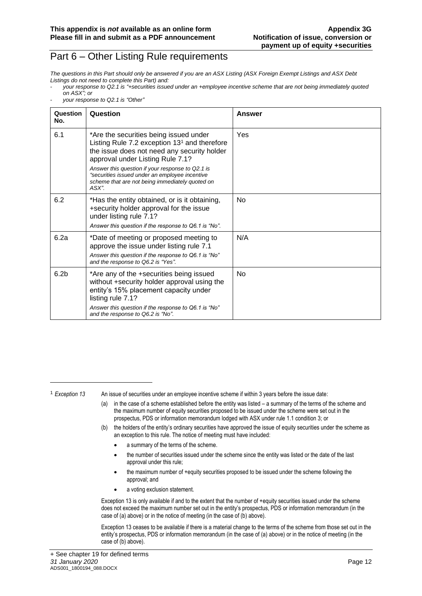#### Part 6 – Other Listing Rule requirements

*The questions in this Part should only be answered if you are an ASX Listing (ASX Foreign Exempt Listings and ASX Debt Listings do not need to complete this Part) and:*

- *your response to Q2.1 is "Other"*

| Question<br>No.  | Question                                                                                                                                                                                                                                                                                                                                      | Answer |
|------------------|-----------------------------------------------------------------------------------------------------------------------------------------------------------------------------------------------------------------------------------------------------------------------------------------------------------------------------------------------|--------|
| 6.1              | *Are the securities being issued under<br>Listing Rule 7.2 exception $131$ and therefore<br>the issue does not need any security holder<br>approval under Listing Rule 7.1?<br>Answer this question if your response to Q2.1 is<br>"securities issued under an employee incentive<br>scheme that are not being immediately quoted on<br>ASX". | Yes    |
| 6.2              | *Has the entity obtained, or is it obtaining,<br>+security holder approval for the issue<br>under listing rule 7.1?<br>Answer this question if the response to Q6.1 is "No".                                                                                                                                                                  | No.    |
| 6.2a             | *Date of meeting or proposed meeting to<br>approve the issue under listing rule 7.1<br>Answer this question if the response to Q6.1 is "No"<br>and the response to Q6.2 is "Yes".                                                                                                                                                             | N/A    |
| 6.2 <sub>b</sub> | *Are any of the +securities being issued<br>without +security holder approval using the<br>entity's 15% placement capacity under<br>listing rule 7.1?<br>Answer this question if the response to Q6.1 is "No"<br>and the response to Q6.2 is "No".                                                                                            | No.    |

<sup>1</sup> *Exception 13* An issue of securities under an employee incentive scheme if within 3 years before the issue date:

- (a) in the case of a scheme established before the entity was listed a summary of the terms of the scheme and the maximum number of equity securities proposed to be issued under the scheme were set out in the prospectus, PDS or information memorandum lodged with ASX under rule 1.1 condition 3; or
- (b) the holders of the entity's ordinary securities have approved the issue of equity securities under the scheme as an exception to this rule. The notice of meeting must have included:
	- a summary of the terms of the scheme.
	- the number of securities issued under the scheme since the entity was listed or the date of the last approval under this rule;
	- the maximum number of +equity securities proposed to be issued under the scheme following the approval; and
	- a voting exclusion statement.

Exception 13 is only available if and to the extent that the number of +equity securities issued under the scheme does not exceed the maximum number set out in the entity's prospectus, PDS or information memorandum (in the case of (a) above) or in the notice of meeting (in the case of (b) above).

Exception 13 ceases to be available if there is a material change to the terms of the scheme from those set out in the entity's prospectus, PDS or information memorandum (in the case of (a) above) or in the notice of meeting (in the case of (b) above).

<sup>-</sup> *your response to Q2.1 is "+securities issued under an +employee incentive scheme that are not being immediately quoted on ASX"; or*